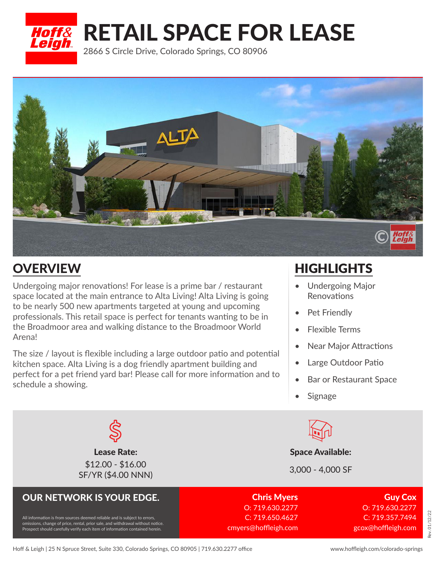RETAIL SPACE FOR LEASE

2866 S Circle Drive, Colorado Springs, CO 80906



## **OVERVIEW**

*Hoff&<br>Leigh* 

Undergoing major renovations! For lease is a prime bar / restaurant space located at the main entrance to Alta Living! Alta Living is going to be nearly 500 new apartments targeted at young and upcoming professionals. This retail space is perfect for tenants wanting to be in the Broadmoor area and walking distance to the Broadmoor World Arena!

The size / layout is flexible including a large outdoor patio and potential kitchen space. Alta Living is a dog friendly apartment building and perfect for a pet friend yard bar! Please call for more information and to schedule a showing.

## **HIGHLIGHTS**

- Undergoing Major Renovations
- Pet Friendly
- Flexible Terms
- **Near Major Attractions**
- Large Outdoor Patio
- Bar or Restaurant Space
- **Signage**



**Lease Rate:** Space Available:

SF/YR (\$4.00 NNN) 3,000 - 4,000 SF

OUR NETWORK IS YOUR EDGE. Chris Myers O: 719.630.2277 C: 719.650.4627 cmyers@hoffleigh.com

Guy Cox O: 719.630.2277 C: 719.357.7494 gcox@hoffleigh.com

### Prospect should carefully verify each item of information contained herein.

\$12.00 - \$16.00

All information is from sources deemed reliable and is subject to errors, omissions, change of price, rental, prior sale, and withdrawal without notice.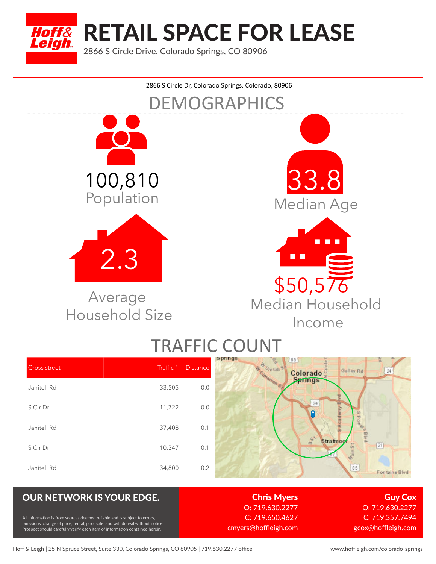

RETAIL SPACE FOR LEASE

2866 S Circle Drive, Colorado Springs, CO 80906



# TRAFFIC COUNT

| <b>Cross street</b> | Traffic 1 | <b>Distance</b> | <b>Phillip</b><br>85<br><b>W.Umtall SP</b><br>Galley Rd<br>24<br>Colorado |
|---------------------|-----------|-----------------|---------------------------------------------------------------------------|
| Janitell Rd         | 33,505    | 0.0             |                                                                           |
| S Cir Dr            | 11,722    | 0.0             | 24                                                                        |
| Janitell Rd         | 37,408    | 0.1             | AIB                                                                       |
| S Cir Dr            | 10,347    | 0.1             | $\mathbb{B}^{\mathfrak{g}}$<br><b>Stratmoo</b><br>m.<br>[21]              |
| Janitell Rd         | 34,800    | 0.2             | $\boxed{85}$<br>Fontaine Blvd                                             |

### OUR NETWORK IS YOUR EDGE. Chris Myers

 $\delta$ formation is from sources deemed reliable and is subject to errors, sions, change of price, rental, prior sale, and withdrawal without notice Prospect should carefully verify each item of information contained herein.

O: 719.630.2277 C: 719.650.4627 cmyers@hoffleigh.com

Guy Cox O: 719.630.2277 C: 719.357.7494 gcox@hoffleigh.com